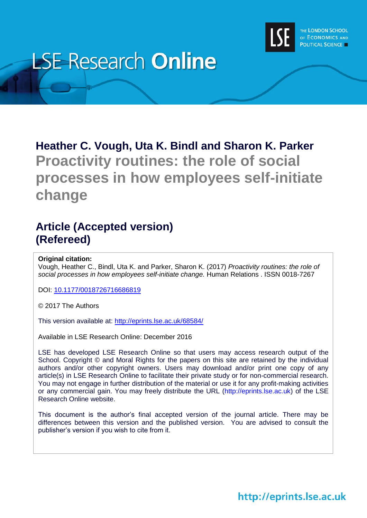

# **LSE Research Online**

**Heather C. Vough, Uta K. Bindl and Sharon K. Parker Proactivity routines: the role of social processes in how employees self-initiate change**

## **Article (Accepted version) (Refereed)**

**Original citation:**

Vough, Heather C., Bindl, Uta K. and Parker, Sharon K. (2017) *Proactivity routines: the role of social processes in how employees self-initiate change.* Human Relations . ISSN 0018-7267

DOI: [10.1177/0018726716686819](http://dx.doi.org/10.1177/0018726716686819)

© 2017 The Authors

This version available at:<http://eprints.lse.ac.uk/68584/>

Available in LSE Research Online: December 2016

LSE has developed LSE Research Online so that users may access research output of the School. Copyright © and Moral Rights for the papers on this site are retained by the individual authors and/or other copyright owners. Users may download and/or print one copy of any article(s) in LSE Research Online to facilitate their private study or for non-commercial research. You may not engage in further distribution of the material or use it for any profit-making activities or any commercial gain. You may freely distribute the URL (http://eprints.lse.ac.uk) of the LSE Research Online website.

This document is the author's final accepted version of the journal article. There may be differences between this version and the published version. You are advised to consult the publisher's version if you wish to cite from it.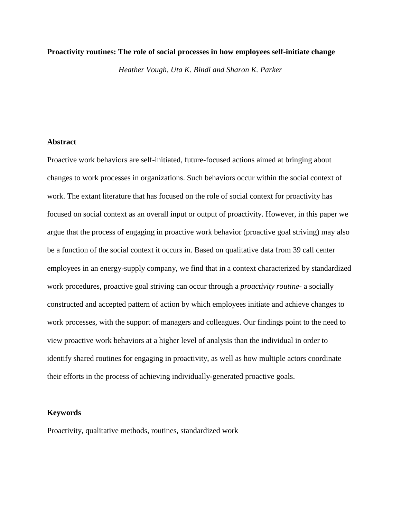#### **Proactivity routines: The role of social processes in how employees self-initiate change**

*Heather Vough, Uta K. Bindl and Sharon K. Parker*

#### **Abstract**

Proactive work behaviors are self-initiated, future-focused actions aimed at bringing about changes to work processes in organizations. Such behaviors occur within the social context of work. The extant literature that has focused on the role of social context for proactivity has focused on social context as an overall input or output of proactivity. However, in this paper we argue that the process of engaging in proactive work behavior (proactive goal striving) may also be a function of the social context it occurs in. Based on qualitative data from 39 call center employees in an energy-supply company, we find that in a context characterized by standardized work procedures, proactive goal striving can occur through a *proactivity routine*- a socially constructed and accepted pattern of action by which employees initiate and achieve changes to work processes, with the support of managers and colleagues. Our findings point to the need to view proactive work behaviors at a higher level of analysis than the individual in order to identify shared routines for engaging in proactivity, as well as how multiple actors coordinate their efforts in the process of achieving individually-generated proactive goals.

#### **Keywords**

Proactivity, qualitative methods, routines, standardized work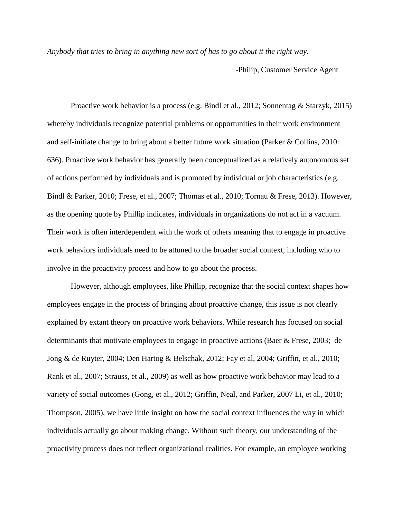*Anybody that tries to bring in anything new sort of has to go about it the right way.* 

-Philip, Customer Service Agent

Proactive work behavior is a process (e.g. Bindl et al., 2012; Sonnentag & Starzyk, 2015) whereby individuals recognize potential problems or opportunities in their work environment and self-initiate change to bring about a better future work situation (Parker & Collins, 2010: 636). Proactive work behavior has generally been conceptualized as a relatively autonomous set of actions performed by individuals and is promoted by individual or job characteristics (e.g. Bindl & Parker, 2010; Frese, et al., 2007; Thomas et al., 2010; Tornau & Frese, 2013). However, as the opening quote by Phillip indicates, individuals in organizations do not act in a vacuum. Their work is often interdependent with the work of others meaning that to engage in proactive work behaviors individuals need to be attuned to the broader social context, including who to involve in the proactivity process and how to go about the process.

However, although employees, like Phillip, recognize that the social context shapes how employees engage in the process of bringing about proactive change, this issue is not clearly explained by extant theory on proactive work behaviors. While research has focused on social determinants that motivate employees to engage in proactive actions (Baer & Frese, 2003; de Jong & de Ruyter, 2004; Den Hartog & Belschak, 2012; Fay et al, 2004; Griffin, et al., 2010; Rank et al., 2007; Strauss, et al., 2009) as well as how proactive work behavior may lead to a variety of social outcomes (Gong, et al., 2012; Griffin, Neal, and Parker, 2007 Li, et al., 2010; Thompson, 2005), we have little insight on how the social context influences the way in which individuals actually go about making change. Without such theory, our understanding of the proactivity process does not reflect organizational realities. For example, an employee working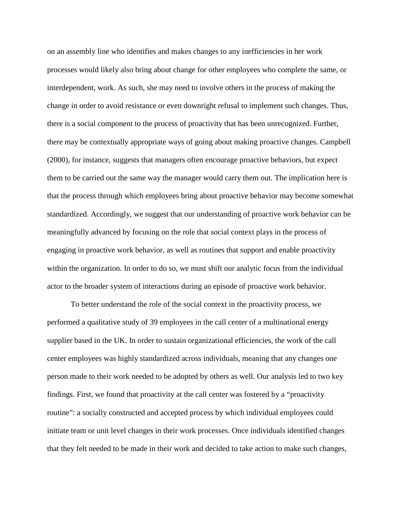on an assembly line who identifies and makes changes to any inefficiencies in her work processes would likely also bring about change for other employees who complete the same, or interdependent, work. As such, she may need to involve others in the process of making the change in order to avoid resistance or even downright refusal to implement such changes. Thus, there is a social component to the process of proactivity that has been unrecognized. Further, there may be contextually appropriate ways of going about making proactive changes. Campbell (2000), for instance, suggests that managers often encourage proactive behaviors, but expect them to be carried out the same way the manager would carry them out. The implication here is that the process through which employees bring about proactive behavior may become somewhat standardized. Accordingly, we suggest that our understanding of proactive work behavior can be meaningfully advanced by focusing on the role that social context plays in the process of engaging in proactive work behavior, as well as routines that support and enable proactivity within the organization. In order to do so, we must shift our analytic focus from the individual actor to the broader system of interactions during an episode of proactive work behavior.

To better understand the role of the social context in the proactivity process, we performed a qualitative study of 39 employees in the call center of a multinational energy supplier based in the UK. In order to sustain organizational efficiencies, the work of the call center employees was highly standardized across individuals, meaning that any changes one person made to their work needed to be adopted by others as well. Our analysis led to two key findings. First, we found that proactivity at the call center was fostered by a "proactivity routine": a socially constructed and accepted process by which individual employees could initiate team or unit level changes in their work processes. Once individuals identified changes that they felt needed to be made in their work and decided to take action to make such changes,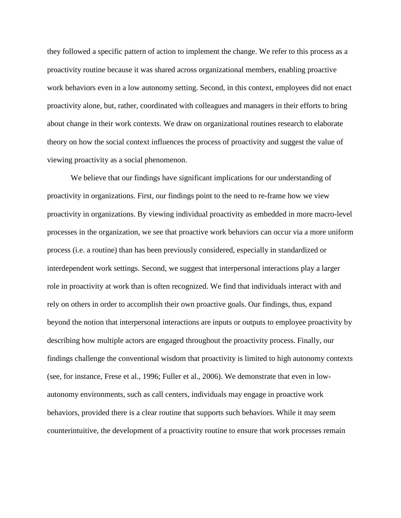they followed a specific pattern of action to implement the change. We refer to this process as a proactivity routine because it was shared across organizational members, enabling proactive work behaviors even in a low autonomy setting. Second, in this context, employees did not enact proactivity alone, but, rather, coordinated with colleagues and managers in their efforts to bring about change in their work contexts. We draw on organizational routines research to elaborate theory on how the social context influences the process of proactivity and suggest the value of viewing proactivity as a social phenomenon.

We believe that our findings have significant implications for our understanding of proactivity in organizations. First, our findings point to the need to re-frame how we view proactivity in organizations. By viewing individual proactivity as embedded in more macro-level processes in the organization, we see that proactive work behaviors can occur via a more uniform process (i.e. a routine) than has been previously considered, especially in standardized or interdependent work settings. Second, we suggest that interpersonal interactions play a larger role in proactivity at work than is often recognized. We find that individuals interact with and rely on others in order to accomplish their own proactive goals. Our findings, thus, expand beyond the notion that interpersonal interactions are inputs or outputs to employee proactivity by describing how multiple actors are engaged throughout the proactivity process. Finally, our findings challenge the conventional wisdom that proactivity is limited to high autonomy contexts (see, for instance, Frese et al., 1996; Fuller et al., 2006). We demonstrate that even in lowautonomy environments, such as call centers, individuals may engage in proactive work behaviors, provided there is a clear routine that supports such behaviors. While it may seem counterintuitive, the development of a proactivity routine to ensure that work processes remain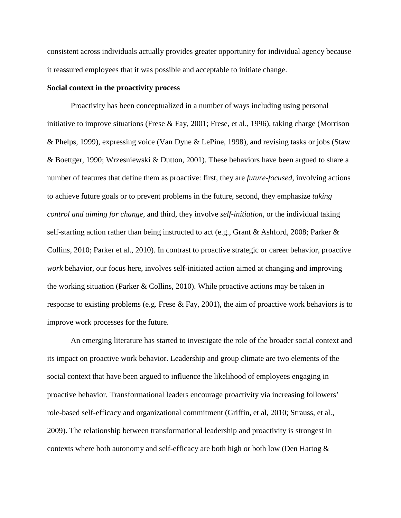consistent across individuals actually provides greater opportunity for individual agency because it reassured employees that it was possible and acceptable to initiate change.

#### **Social context in the proactivity process**

Proactivity has been conceptualized in a number of ways including using personal initiative to improve situations (Frese & Fay, 2001; Frese, et al., 1996), taking charge (Morrison & Phelps, 1999), expressing voice (Van Dyne & LePine, 1998), and revising tasks or jobs (Staw & Boettger, 1990; Wrzesniewski & Dutton, 2001). These behaviors have been argued to share a number of features that define them as proactive: first, they are *future-focused*, involving actions to achieve future goals or to prevent problems in the future, second, they emphasize *taking control and aiming for change,* and third, they involve *self-initiation*, or the individual taking self-starting action rather than being instructed to act (e.g., Grant & Ashford, 2008; Parker & Collins, 2010; Parker et al., 2010). In contrast to proactive strategic or career behavior, proactive *work* behavior, our focus here, involves self-initiated action aimed at changing and improving the working situation (Parker & Collins, 2010). While proactive actions may be taken in response to existing problems (e.g. Frese & Fay, 2001), the aim of proactive work behaviors is to improve work processes for the future.

An emerging literature has started to investigate the role of the broader social context and its impact on proactive work behavior. Leadership and group climate are two elements of the social context that have been argued to influence the likelihood of employees engaging in proactive behavior. Transformational leaders encourage proactivity via increasing followers' role-based self-efficacy and organizational commitment (Griffin, et al, 2010; Strauss, et al., 2009). The relationship between transformational leadership and proactivity is strongest in contexts where both autonomy and self-efficacy are both high or both low (Den Hartog  $\&$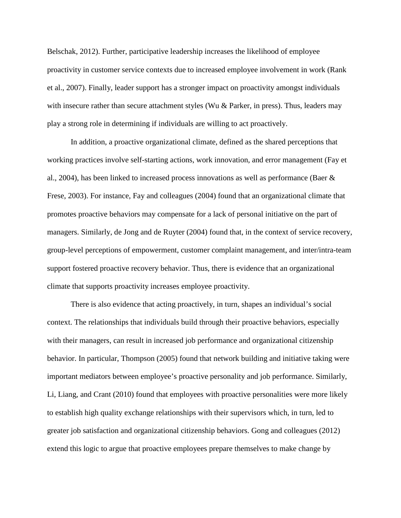Belschak, 2012). Further, participative leadership increases the likelihood of employee proactivity in customer service contexts due to increased employee involvement in work (Rank et al., 2007). Finally, leader support has a stronger impact on proactivity amongst individuals with insecure rather than secure attachment styles (Wu & Parker, in press). Thus, leaders may play a strong role in determining if individuals are willing to act proactively.

In addition, a proactive organizational climate, defined as the shared perceptions that working practices involve self-starting actions, work innovation, and error management (Fay et al., 2004), has been linked to increased process innovations as well as performance (Baer & Frese, 2003). For instance, Fay and colleagues (2004) found that an organizational climate that promotes proactive behaviors may compensate for a lack of personal initiative on the part of managers. Similarly, de Jong and de Ruyter (2004) found that, in the context of service recovery, group-level perceptions of empowerment, customer complaint management, and inter/intra-team support fostered proactive recovery behavior. Thus, there is evidence that an organizational climate that supports proactivity increases employee proactivity.

There is also evidence that acting proactively, in turn, shapes an individual's social context. The relationships that individuals build through their proactive behaviors, especially with their managers, can result in increased job performance and organizational citizenship behavior. In particular, Thompson (2005) found that network building and initiative taking were important mediators between employee's proactive personality and job performance. Similarly, Li, Liang, and Crant (2010) found that employees with proactive personalities were more likely to establish high quality exchange relationships with their supervisors which, in turn, led to greater job satisfaction and organizational citizenship behaviors. Gong and colleagues (2012) extend this logic to argue that proactive employees prepare themselves to make change by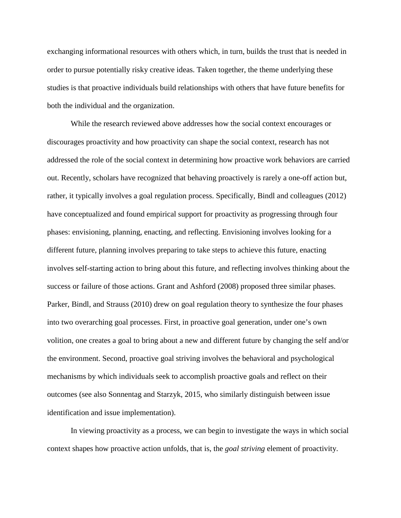exchanging informational resources with others which, in turn, builds the trust that is needed in order to pursue potentially risky creative ideas. Taken together, the theme underlying these studies is that proactive individuals build relationships with others that have future benefits for both the individual and the organization.

While the research reviewed above addresses how the social context encourages or discourages proactivity and how proactivity can shape the social context, research has not addressed the role of the social context in determining how proactive work behaviors are carried out. Recently, scholars have recognized that behaving proactively is rarely a one-off action but, rather, it typically involves a goal regulation process. Specifically, Bindl and colleagues (2012) have conceptualized and found empirical support for proactivity as progressing through four phases: envisioning, planning, enacting, and reflecting. Envisioning involves looking for a different future, planning involves preparing to take steps to achieve this future, enacting involves self-starting action to bring about this future, and reflecting involves thinking about the success or failure of those actions. Grant and Ashford (2008) proposed three similar phases. Parker, Bindl, and Strauss (2010) drew on goal regulation theory to synthesize the four phases into two overarching goal processes. First, in proactive goal generation, under one's own volition, one creates a goal to bring about a new and different future by changing the self and/or the environment. Second, proactive goal striving involves the behavioral and psychological mechanisms by which individuals seek to accomplish proactive goals and reflect on their outcomes (see also Sonnentag and Starzyk, 2015, who similarly distinguish between issue identification and issue implementation).

In viewing proactivity as a process, we can begin to investigate the ways in which social context shapes how proactive action unfolds, that is, the *goal striving* element of proactivity.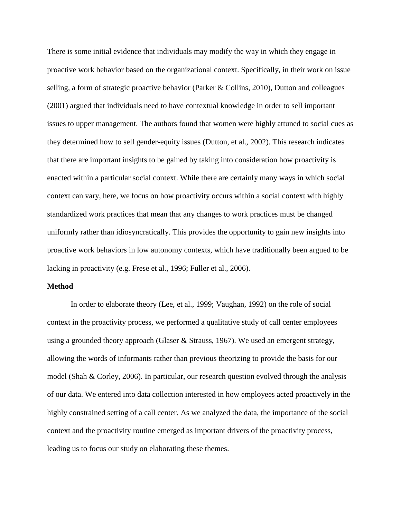There is some initial evidence that individuals may modify the way in which they engage in proactive work behavior based on the organizational context. Specifically, in their work on issue selling, a form of strategic proactive behavior (Parker & Collins, 2010), Dutton and colleagues (2001) argued that individuals need to have contextual knowledge in order to sell important issues to upper management. The authors found that women were highly attuned to social cues as they determined how to sell gender-equity issues (Dutton, et al., 2002). This research indicates that there are important insights to be gained by taking into consideration how proactivity is enacted within a particular social context. While there are certainly many ways in which social context can vary, here, we focus on how proactivity occurs within a social context with highly standardized work practices that mean that any changes to work practices must be changed uniformly rather than idiosyncratically. This provides the opportunity to gain new insights into proactive work behaviors in low autonomy contexts, which have traditionally been argued to be lacking in proactivity (e.g. Frese et al., 1996; Fuller et al., 2006).

#### **Method**

In order to elaborate theory (Lee, et al., 1999; Vaughan, 1992) on the role of social context in the proactivity process, we performed a qualitative study of call center employees using a grounded theory approach (Glaser & Strauss, 1967). We used an emergent strategy, allowing the words of informants rather than previous theorizing to provide the basis for our model (Shah & Corley, 2006). In particular, our research question evolved through the analysis of our data. We entered into data collection interested in how employees acted proactively in the highly constrained setting of a call center. As we analyzed the data, the importance of the social context and the proactivity routine emerged as important drivers of the proactivity process, leading us to focus our study on elaborating these themes.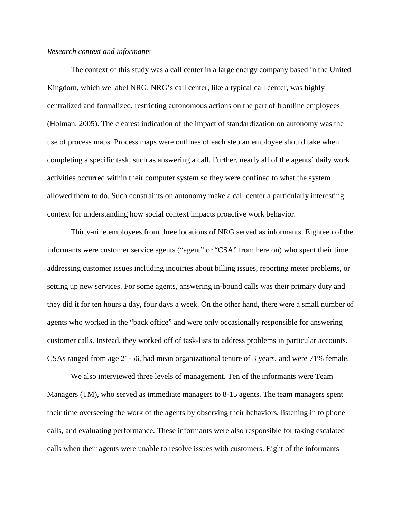#### *Research context and informants*

The context of this study was a call center in a large energy company based in the United Kingdom, which we label NRG. NRG's call center, like a typical call center, was highly centralized and formalized, restricting autonomous actions on the part of frontline employees (Holman, 2005). The clearest indication of the impact of standardization on autonomy was the use of process maps. Process maps were outlines of each step an employee should take when completing a specific task, such as answering a call. Further, nearly all of the agents' daily work activities occurred within their computer system so they were confined to what the system allowed them to do. Such constraints on autonomy make a call center a particularly interesting context for understanding how social context impacts proactive work behavior.

Thirty-nine employees from three locations of NRG served as informants. Eighteen of the informants were customer service agents ("agent" or "CSA" from here on) who spent their time addressing customer issues including inquiries about billing issues, reporting meter problems, or setting up new services. For some agents, answering in-bound calls was their primary duty and they did it for ten hours a day, four days a week. On the other hand, there were a small number of agents who worked in the "back office" and were only occasionally responsible for answering customer calls. Instead, they worked off of task-lists to address problems in particular accounts. CSAs ranged from age 21-56, had mean organizational tenure of 3 years, and were 71% female.

We also interviewed three levels of management. Ten of the informants were Team Managers (TM), who served as immediate managers to 8-15 agents. The team managers spent their time overseeing the work of the agents by observing their behaviors, listening in to phone calls, and evaluating performance. These informants were also responsible for taking escalated calls when their agents were unable to resolve issues with customers. Eight of the informants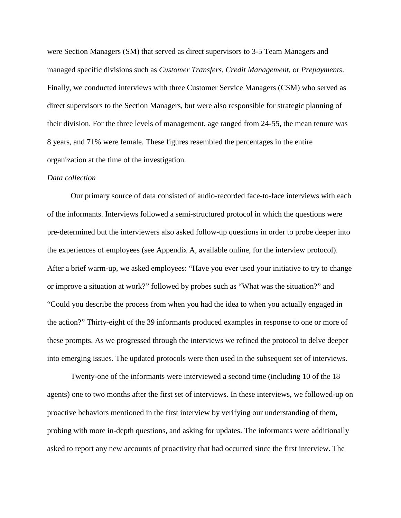were Section Managers (SM) that served as direct supervisors to 3-5 Team Managers and managed specific divisions such as *Customer Transfers*, *Credit Management*, or *Prepayments*. Finally, we conducted interviews with three Customer Service Managers (CSM) who served as direct supervisors to the Section Managers, but were also responsible for strategic planning of their division. For the three levels of management, age ranged from 24-55, the mean tenure was 8 years, and 71% were female. These figures resembled the percentages in the entire organization at the time of the investigation.

#### *Data collection*

Our primary source of data consisted of audio-recorded face-to-face interviews with each of the informants. Interviews followed a semi-structured protocol in which the questions were pre-determined but the interviewers also asked follow-up questions in order to probe deeper into the experiences of employees (see Appendix A, available online, for the interview protocol). After a brief warm-up, we asked employees: "Have you ever used your initiative to try to change or improve a situation at work?" followed by probes such as "What was the situation?" and "Could you describe the process from when you had the idea to when you actually engaged in the action?" Thirty-eight of the 39 informants produced examples in response to one or more of these prompts. As we progressed through the interviews we refined the protocol to delve deeper into emerging issues. The updated protocols were then used in the subsequent set of interviews.

Twenty-one of the informants were interviewed a second time (including 10 of the 18 agents) one to two months after the first set of interviews. In these interviews, we followed-up on proactive behaviors mentioned in the first interview by verifying our understanding of them, probing with more in-depth questions, and asking for updates. The informants were additionally asked to report any new accounts of proactivity that had occurred since the first interview. The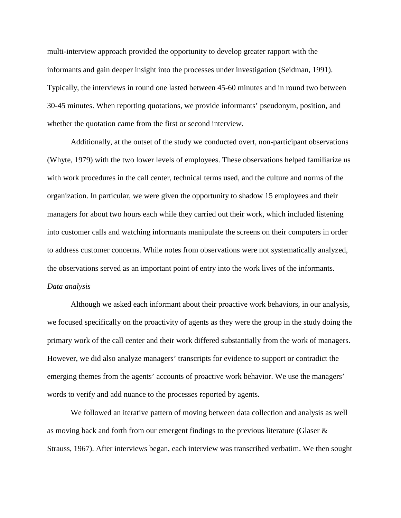multi-interview approach provided the opportunity to develop greater rapport with the informants and gain deeper insight into the processes under investigation (Seidman, 1991). Typically, the interviews in round one lasted between 45-60 minutes and in round two between 30-45 minutes. When reporting quotations, we provide informants' pseudonym, position, and whether the quotation came from the first or second interview.

Additionally, at the outset of the study we conducted overt, non-participant observations (Whyte, 1979) with the two lower levels of employees. These observations helped familiarize us with work procedures in the call center, technical terms used, and the culture and norms of the organization. In particular, we were given the opportunity to shadow 15 employees and their managers for about two hours each while they carried out their work, which included listening into customer calls and watching informants manipulate the screens on their computers in order to address customer concerns. While notes from observations were not systematically analyzed, the observations served as an important point of entry into the work lives of the informants. *Data analysis*

Although we asked each informant about their proactive work behaviors, in our analysis, we focused specifically on the proactivity of agents as they were the group in the study doing the primary work of the call center and their work differed substantially from the work of managers. However, we did also analyze managers' transcripts for evidence to support or contradict the emerging themes from the agents' accounts of proactive work behavior. We use the managers' words to verify and add nuance to the processes reported by agents.

We followed an iterative pattern of moving between data collection and analysis as well as moving back and forth from our emergent findings to the previous literature (Glaser & Strauss, 1967). After interviews began, each interview was transcribed verbatim. We then sought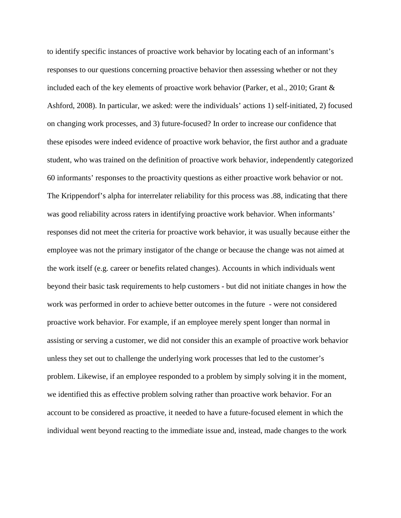to identify specific instances of proactive work behavior by locating each of an informant's responses to our questions concerning proactive behavior then assessing whether or not they included each of the key elements of proactive work behavior (Parker, et al., 2010; Grant & Ashford, 2008). In particular, we asked: were the individuals' actions 1) self-initiated, 2) focused on changing work processes, and 3) future-focused? In order to increase our confidence that these episodes were indeed evidence of proactive work behavior, the first author and a graduate student, who was trained on the definition of proactive work behavior, independently categorized 60 informants' responses to the proactivity questions as either proactive work behavior or not. The Krippendorf's alpha for interrelater reliability for this process was .88, indicating that there was good reliability across raters in identifying proactive work behavior. When informants' responses did not meet the criteria for proactive work behavior, it was usually because either the employee was not the primary instigator of the change or because the change was not aimed at the work itself (e.g. career or benefits related changes). Accounts in which individuals went beyond their basic task requirements to help customers - but did not initiate changes in how the work was performed in order to achieve better outcomes in the future - were not considered proactive work behavior. For example, if an employee merely spent longer than normal in assisting or serving a customer, we did not consider this an example of proactive work behavior unless they set out to challenge the underlying work processes that led to the customer's problem. Likewise, if an employee responded to a problem by simply solving it in the moment, we identified this as effective problem solving rather than proactive work behavior. For an account to be considered as proactive, it needed to have a future-focused element in which the individual went beyond reacting to the immediate issue and, instead, made changes to the work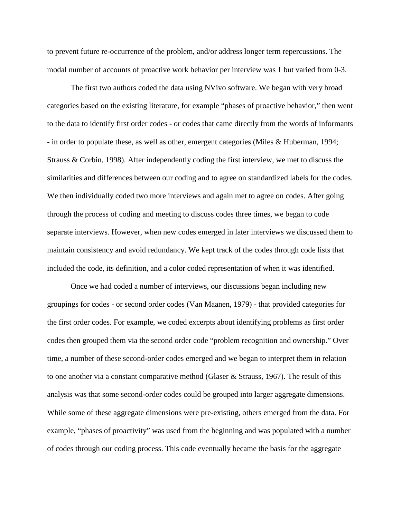to prevent future re-occurrence of the problem, and/or address longer term repercussions. The modal number of accounts of proactive work behavior per interview was 1 but varied from 0-3.

The first two authors coded the data using NVivo software. We began with very broad categories based on the existing literature, for example "phases of proactive behavior," then went to the data to identify first order codes - or codes that came directly from the words of informants - in order to populate these, as well as other, emergent categories (Miles & Huberman, 1994; Strauss & Corbin, 1998). After independently coding the first interview, we met to discuss the similarities and differences between our coding and to agree on standardized labels for the codes. We then individually coded two more interviews and again met to agree on codes. After going through the process of coding and meeting to discuss codes three times, we began to code separate interviews. However, when new codes emerged in later interviews we discussed them to maintain consistency and avoid redundancy. We kept track of the codes through code lists that included the code, its definition, and a color coded representation of when it was identified.

Once we had coded a number of interviews, our discussions began including new groupings for codes - or second order codes (Van Maanen, 1979) - that provided categories for the first order codes. For example, we coded excerpts about identifying problems as first order codes then grouped them via the second order code "problem recognition and ownership." Over time, a number of these second-order codes emerged and we began to interpret them in relation to one another via a constant comparative method (Glaser & Strauss, 1967). The result of this analysis was that some second-order codes could be grouped into larger aggregate dimensions. While some of these aggregate dimensions were pre-existing, others emerged from the data. For example, "phases of proactivity" was used from the beginning and was populated with a number of codes through our coding process. This code eventually became the basis for the aggregate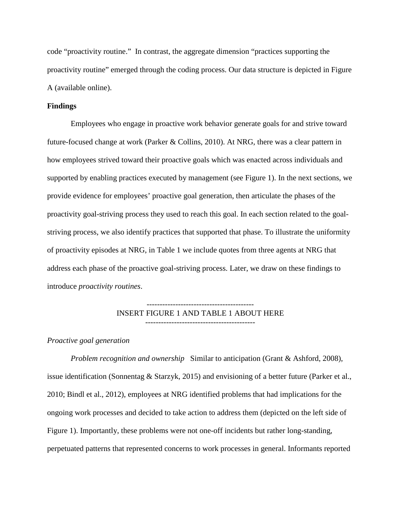code "proactivity routine." In contrast, the aggregate dimension "practices supporting the proactivity routine" emerged through the coding process. Our data structure is depicted in Figure A (available online).

#### **Findings**

Employees who engage in proactive work behavior generate goals for and strive toward future-focused change at work (Parker & Collins, 2010). At NRG, there was a clear pattern in how employees strived toward their proactive goals which was enacted across individuals and supported by enabling practices executed by management (see Figure 1). In the next sections, we provide evidence for employees' proactive goal generation, then articulate the phases of the proactivity goal-striving process they used to reach this goal. In each section related to the goalstriving process, we also identify practices that supported that phase. To illustrate the uniformity of proactivity episodes at NRG, in Table 1 we include quotes from three agents at NRG that address each phase of the proactive goal-striving process. Later, we draw on these findings to introduce *proactivity routines*.

### ----------------------------------------- INSERT FIGURE 1 AND TABLE 1 ABOUT HERE

#### *Proactive goal generation*

*Problem recognition and ownership* Similar to anticipation (Grant & Ashford, 2008), issue identification (Sonnentag & Starzyk, 2015) and envisioning of a better future (Parker et al., 2010; Bindl et al., 2012), employees at NRG identified problems that had implications for the ongoing work processes and decided to take action to address them (depicted on the left side of Figure 1). Importantly, these problems were not one-off incidents but rather long-standing, perpetuated patterns that represented concerns to work processes in general. Informants reported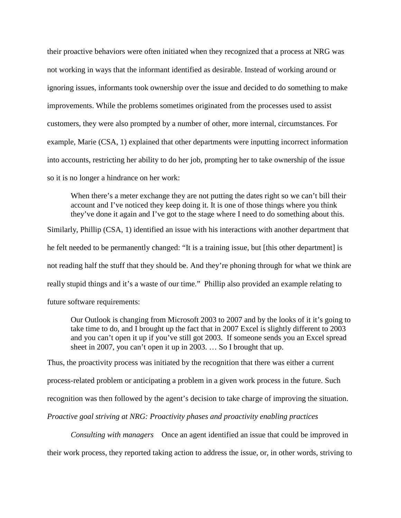their proactive behaviors were often initiated when they recognized that a process at NRG was not working in ways that the informant identified as desirable. Instead of working around or ignoring issues, informants took ownership over the issue and decided to do something to make improvements. While the problems sometimes originated from the processes used to assist customers, they were also prompted by a number of other, more internal, circumstances. For example, Marie (CSA, 1) explained that other departments were inputting incorrect information into accounts, restricting her ability to do her job, prompting her to take ownership of the issue so it is no longer a hindrance on her work:

When there's a meter exchange they are not putting the dates right so we can't bill their account and I've noticed they keep doing it. It is one of those things where you think they've done it again and I've got to the stage where I need to do something about this.

Similarly, Phillip (CSA, 1) identified an issue with his interactions with another department that he felt needed to be permanently changed: "It is a training issue, but [this other department] is not reading half the stuff that they should be. And they're phoning through for what we think are really stupid things and it's a waste of our time." Phillip also provided an example relating to future software requirements:

Our Outlook is changing from Microsoft 2003 to 2007 and by the looks of it it's going to take time to do, and I brought up the fact that in 2007 Excel is slightly different to 2003 and you can't open it up if you've still got 2003. If someone sends you an Excel spread sheet in 2007, you can't open it up in 2003. … So I brought that up.

Thus, the proactivity process was initiated by the recognition that there was either a current process-related problem or anticipating a problem in a given work process in the future. Such recognition was then followed by the agent's decision to take charge of improving the situation. *Proactive goal striving at NRG: Proactivity phases and proactivity enabling practices*

*Consulting with managers* Once an agent identified an issue that could be improved in their work process, they reported taking action to address the issue, or, in other words, striving to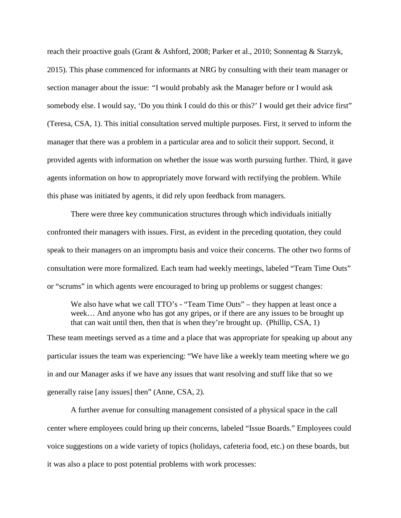reach their proactive goals (Grant & Ashford, 2008; Parker et al., 2010; Sonnentag & Starzyk, 2015). This phase commenced for informants at NRG by consulting with their team manager or section manager about the issue: *"*I would probably ask the Manager before or I would ask somebody else. I would say, 'Do you think I could do this or this?' I would get their advice first" (Teresa, CSA, 1). This initial consultation served multiple purposes. First, it served to inform the manager that there was a problem in a particular area and to solicit their support. Second, it provided agents with information on whether the issue was worth pursuing further. Third, it gave agents information on how to appropriately move forward with rectifying the problem. While this phase was initiated by agents, it did rely upon feedback from managers.

There were three key communication structures through which individuals initially confronted their managers with issues. First, as evident in the preceding quotation, they could speak to their managers on an impromptu basis and voice their concerns. The other two forms of consultation were more formalized. Each team had weekly meetings, labeled "Team Time Outs" or "scrums" in which agents were encouraged to bring up problems or suggest changes:

We also have what we call TTO's - "Team Time Outs" – they happen at least once a week… And anyone who has got any gripes, or if there are any issues to be brought up that can wait until then, then that is when they're brought up. (Phillip, CSA, 1)

These team meetings served as a time and a place that was appropriate for speaking up about any particular issues the team was experiencing: "We have like a weekly team meeting where we go in and our Manager asks if we have any issues that want resolving and stuff like that so we generally raise [any issues] then" (Anne, CSA, 2).

A further avenue for consulting management consisted of a physical space in the call center where employees could bring up their concerns, labeled "Issue Boards." Employees could voice suggestions on a wide variety of topics (holidays, cafeteria food, etc.) on these boards, but it was also a place to post potential problems with work processes: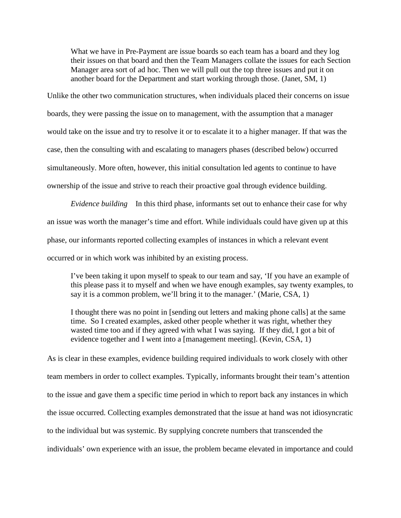What we have in Pre-Payment are issue boards so each team has a board and they log their issues on that board and then the Team Managers collate the issues for each Section Manager area sort of ad hoc. Then we will pull out the top three issues and put it on another board for the Department and start working through those. (Janet, SM, 1)

Unlike the other two communication structures, when individuals placed their concerns on issue boards, they were passing the issue on to management, with the assumption that a manager would take on the issue and try to resolve it or to escalate it to a higher manager. If that was the case, then the consulting with and escalating to managers phases (described below) occurred simultaneously. More often, however, this initial consultation led agents to continue to have ownership of the issue and strive to reach their proactive goal through evidence building.

*Evidence building* In this third phase, informants set out to enhance their case for why an issue was worth the manager's time and effort. While individuals could have given up at this phase, our informants reported collecting examples of instances in which a relevant event occurred or in which work was inhibited by an existing process.

I've been taking it upon myself to speak to our team and say, 'If you have an example of this please pass it to myself and when we have enough examples, say twenty examples, to say it is a common problem, we'll bring it to the manager.' (Marie, CSA, 1)

I thought there was no point in [sending out letters and making phone calls] at the same time. So I created examples, asked other people whether it was right, whether they wasted time too and if they agreed with what I was saying. If they did, I got a bit of evidence together and I went into a [management meeting]. (Kevin, CSA, 1)

As is clear in these examples, evidence building required individuals to work closely with other team members in order to collect examples. Typically, informants brought their team's attention to the issue and gave them a specific time period in which to report back any instances in which the issue occurred. Collecting examples demonstrated that the issue at hand was not idiosyncratic to the individual but was systemic. By supplying concrete numbers that transcended the individuals' own experience with an issue, the problem became elevated in importance and could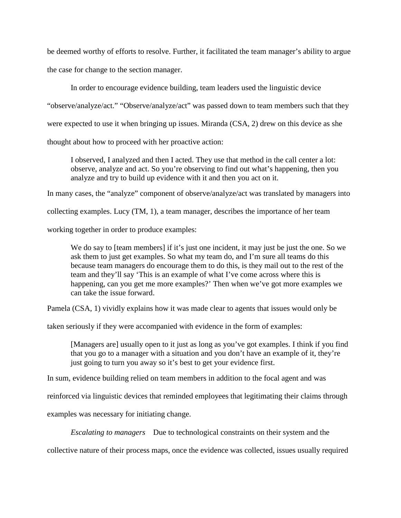be deemed worthy of efforts to resolve. Further, it facilitated the team manager's ability to argue the case for change to the section manager.

In order to encourage evidence building, team leaders used the linguistic device "observe/analyze/act." "Observe/analyze/act" was passed down to team members such that they were expected to use it when bringing up issues. Miranda (CSA, 2) drew on this device as she thought about how to proceed with her proactive action:

I observed, I analyzed and then I acted. They use that method in the call center a lot: observe, analyze and act. So you're observing to find out what's happening, then you analyze and try to build up evidence with it and then you act on it.

In many cases, the "analyze" component of observe/analyze/act was translated by managers into

collecting examples. Lucy (TM, 1), a team manager, describes the importance of her team

working together in order to produce examples:

We do say to [team members] if it's just one incident, it may just be just the one. So we ask them to just get examples. So what my team do, and I'm sure all teams do this because team managers do encourage them to do this, is they mail out to the rest of the team and they'll say 'This is an example of what I've come across where this is happening, can you get me more examples?' Then when we've got more examples we can take the issue forward.

Pamela (CSA, 1) vividly explains how it was made clear to agents that issues would only be

taken seriously if they were accompanied with evidence in the form of examples:

[Managers are] usually open to it just as long as you've got examples. I think if you find that you go to a manager with a situation and you don't have an example of it, they're just going to turn you away so it's best to get your evidence first.

In sum, evidence building relied on team members in addition to the focal agent and was

reinforced via linguistic devices that reminded employees that legitimating their claims through

examples was necessary for initiating change.

*Escalating to managers* Due to technological constraints on their system and the

collective nature of their process maps, once the evidence was collected, issues usually required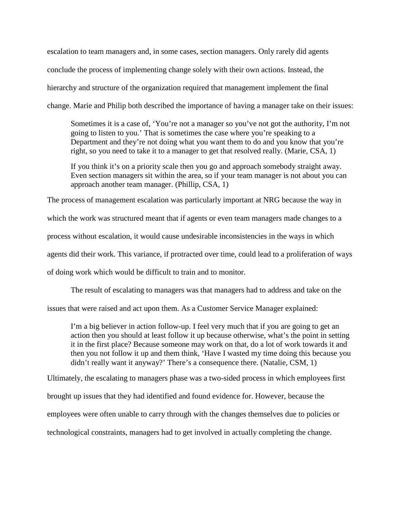escalation to team managers and, in some cases, section managers. Only rarely did agents conclude the process of implementing change solely with their own actions. Instead, the hierarchy and structure of the organization required that management implement the final change. Marie and Philip both described the importance of having a manager take on their issues:

Sometimes it is a case of, 'You're not a manager so you've not got the authority, I'm not going to listen to you.' That is sometimes the case where you're speaking to a Department and they're not doing what you want them to do and you know that you're right, so you need to take it to a manager to get that resolved really. (Marie, CSA, 1)

If you think it's on a priority scale then you go and approach somebody straight away. Even section managers sit within the area, so if your team manager is not about you can approach another team manager. (Phillip, CSA, 1)

The process of management escalation was particularly important at NRG because the way in which the work was structured meant that if agents or even team managers made changes to a process without escalation, it would cause undesirable inconsistencies in the ways in which agents did their work. This variance, if protracted over time, could lead to a proliferation of ways of doing work which would be difficult to train and to monitor.

The result of escalating to managers was that managers had to address and take on the

issues that were raised and act upon them. As a Customer Service Manager explained:

I'm a big believer in action follow-up. I feel very much that if you are going to get an action then you should at least follow it up because otherwise, what's the point in setting it in the first place? Because someone may work on that, do a lot of work towards it and then you not follow it up and them think, 'Have I wasted my time doing this because you didn't really want it anyway?' There's a consequence there. (Natalie, CSM, 1)

Ultimately, the escalating to managers phase was a two-sided process in which employees first brought up issues that they had identified and found evidence for. However, because the employees were often unable to carry through with the changes themselves due to policies or technological constraints, managers had to get involved in actually completing the change.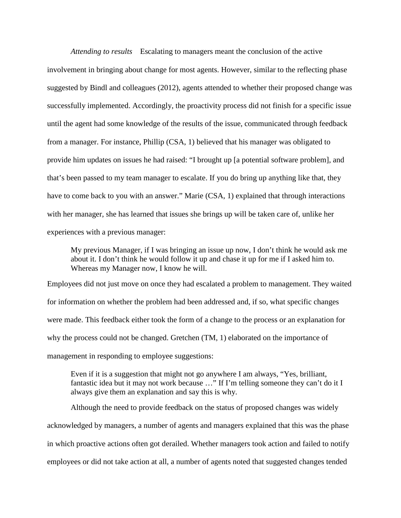*Attending to results* Escalating to managers meant the conclusion of the active involvement in bringing about change for most agents. However, similar to the reflecting phase suggested by Bindl and colleagues (2012), agents attended to whether their proposed change was successfully implemented. Accordingly, the proactivity process did not finish for a specific issue until the agent had some knowledge of the results of the issue, communicated through feedback from a manager. For instance, Phillip (CSA, 1) believed that his manager was obligated to provide him updates on issues he had raised: "I brought up [a potential software problem], and that's been passed to my team manager to escalate. If you do bring up anything like that, they have to come back to you with an answer." Marie (CSA, 1) explained that through interactions with her manager, she has learned that issues she brings up will be taken care of, unlike her experiences with a previous manager:

My previous Manager, if I was bringing an issue up now, I don't think he would ask me about it. I don't think he would follow it up and chase it up for me if I asked him to. Whereas my Manager now, I know he will.

Employees did not just move on once they had escalated a problem to management. They waited for information on whether the problem had been addressed and, if so, what specific changes were made. This feedback either took the form of a change to the process or an explanation for why the process could not be changed. Gretchen (TM, 1) elaborated on the importance of management in responding to employee suggestions:

Even if it is a suggestion that might not go anywhere I am always, "Yes, brilliant, fantastic idea but it may not work because …" If I'm telling someone they can't do it I always give them an explanation and say this is why.

Although the need to provide feedback on the status of proposed changes was widely acknowledged by managers, a number of agents and managers explained that this was the phase in which proactive actions often got derailed. Whether managers took action and failed to notify employees or did not take action at all, a number of agents noted that suggested changes tended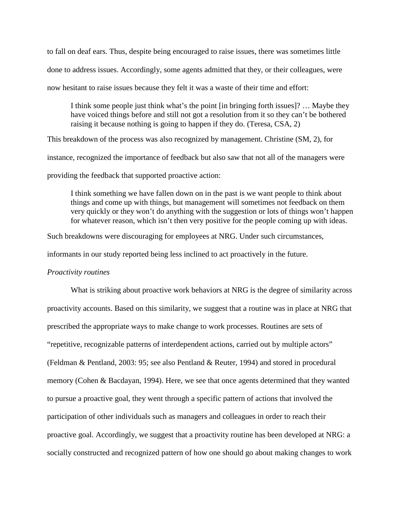to fall on deaf ears. Thus, despite being encouraged to raise issues, there was sometimes little done to address issues. Accordingly, some agents admitted that they, or their colleagues, were now hesitant to raise issues because they felt it was a waste of their time and effort:

I think some people just think what's the point [in bringing forth issues]? … Maybe they have voiced things before and still not got a resolution from it so they can't be bothered raising it because nothing is going to happen if they do. (Teresa, CSA, 2)

This breakdown of the process was also recognized by management. Christine (SM, 2), for

instance, recognized the importance of feedback but also saw that not all of the managers were

providing the feedback that supported proactive action:

I think something we have fallen down on in the past is we want people to think about things and come up with things, but management will sometimes not feedback on them very quickly or they won't do anything with the suggestion or lots of things won't happen for whatever reason, which isn't then very positive for the people coming up with ideas.

Such breakdowns were discouraging for employees at NRG. Under such circumstances,

informants in our study reported being less inclined to act proactively in the future.

#### *Proactivity routines*

What is striking about proactive work behaviors at NRG is the degree of similarity across proactivity accounts. Based on this similarity, we suggest that a routine was in place at NRG that prescribed the appropriate ways to make change to work processes. Routines are sets of "repetitive, recognizable patterns of interdependent actions, carried out by multiple actors" (Feldman & Pentland, 2003: 95; see also Pentland & Reuter, 1994) and stored in procedural memory (Cohen & Bacdayan, 1994). Here, we see that once agents determined that they wanted to pursue a proactive goal, they went through a specific pattern of actions that involved the participation of other individuals such as managers and colleagues in order to reach their proactive goal. Accordingly, we suggest that a proactivity routine has been developed at NRG: a socially constructed and recognized pattern of how one should go about making changes to work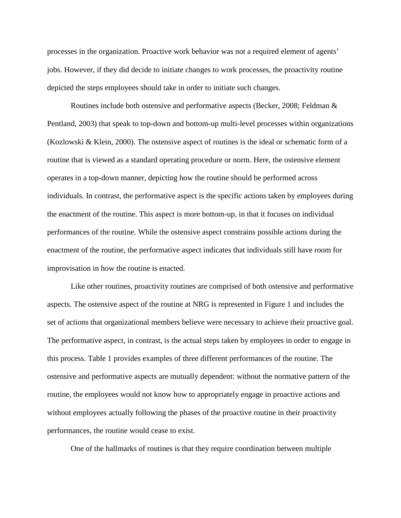processes in the organization. Proactive work behavior was not a required element of agents' jobs. However, if they did decide to initiate changes to work processes, the proactivity routine depicted the steps employees should take in order to initiate such changes.

Routines include both ostensive and performative aspects (Becker, 2008; Feldman & Pentland, 2003) that speak to top-down and bottom-up multi-level processes within organizations (Kozlowski & Klein, 2000). The ostensive aspect of routines is the ideal or schematic form of a routine that is viewed as a standard operating procedure or norm. Here, the ostensive element operates in a top-down manner, depicting how the routine should be performed across individuals. In contrast, the performative aspect is the specific actions taken by employees during the enactment of the routine. This aspect is more bottom-up, in that it focuses on individual performances of the routine. While the ostensive aspect constrains possible actions during the enactment of the routine, the performative aspect indicates that individuals still have room for improvisation in how the routine is enacted.

Like other routines, proactivity routines are comprised of both ostensive and performative aspects. The ostensive aspect of the routine at NRG is represented in Figure 1 and includes the set of actions that organizational members believe were necessary to achieve their proactive goal. The performative aspect, in contrast, is the actual steps taken by employees in order to engage in this process. Table 1 provides examples of three different performances of the routine. The ostensive and performative aspects are mutually dependent: without the normative pattern of the routine, the employees would not know how to appropriately engage in proactive actions and without employees actually following the phases of the proactive routine in their proactivity performances, the routine would cease to exist.

One of the hallmarks of routines is that they require coordination between multiple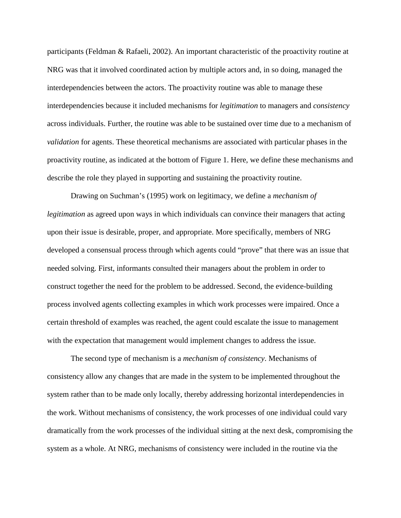participants (Feldman & Rafaeli, 2002). An important characteristic of the proactivity routine at NRG was that it involved coordinated action by multiple actors and, in so doing, managed the interdependencies between the actors. The proactivity routine was able to manage these interdependencies because it included mechanisms for *legitimation* to managers and *consistency* across individuals. Further, the routine was able to be sustained over time due to a mechanism of *validation* for agents. These theoretical mechanisms are associated with particular phases in the proactivity routine, as indicated at the bottom of Figure 1. Here, we define these mechanisms and describe the role they played in supporting and sustaining the proactivity routine.

Drawing on Suchman's (1995) work on legitimacy, we define a *mechanism of legitimation* as agreed upon ways in which individuals can convince their managers that acting upon their issue is desirable, proper, and appropriate. More specifically, members of NRG developed a consensual process through which agents could "prove" that there was an issue that needed solving. First, informants consulted their managers about the problem in order to construct together the need for the problem to be addressed. Second, the evidence-building process involved agents collecting examples in which work processes were impaired. Once a certain threshold of examples was reached, the agent could escalate the issue to management with the expectation that management would implement changes to address the issue.

The second type of mechanism is a *mechanism of consistency*. Mechanisms of consistency allow any changes that are made in the system to be implemented throughout the system rather than to be made only locally, thereby addressing horizontal interdependencies in the work. Without mechanisms of consistency, the work processes of one individual could vary dramatically from the work processes of the individual sitting at the next desk, compromising the system as a whole. At NRG, mechanisms of consistency were included in the routine via the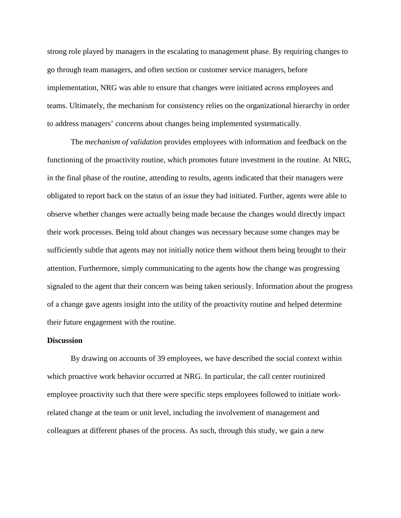strong role played by managers in the escalating to management phase. By requiring changes to go through team managers, and often section or customer service managers, before implementation, NRG was able to ensure that changes were initiated across employees and teams. Ultimately, the mechanism for consistency relies on the organizational hierarchy in order to address managers' concerns about changes being implemented systematically.

The *mechanism of validation* provides employees with information and feedback on the functioning of the proactivity routine, which promotes future investment in the routine. At NRG, in the final phase of the routine, attending to results, agents indicated that their managers were obligated to report back on the status of an issue they had initiated. Further, agents were able to observe whether changes were actually being made because the changes would directly impact their work processes. Being told about changes was necessary because some changes may be sufficiently subtle that agents may not initially notice them without them being brought to their attention. Furthermore, simply communicating to the agents how the change was progressing signaled to the agent that their concern was being taken seriously. Information about the progress of a change gave agents insight into the utility of the proactivity routine and helped determine their future engagement with the routine.

#### **Discussion**

By drawing on accounts of 39 employees, we have described the social context within which proactive work behavior occurred at NRG. In particular, the call center routinized employee proactivity such that there were specific steps employees followed to initiate workrelated change at the team or unit level, including the involvement of management and colleagues at different phases of the process. As such, through this study, we gain a new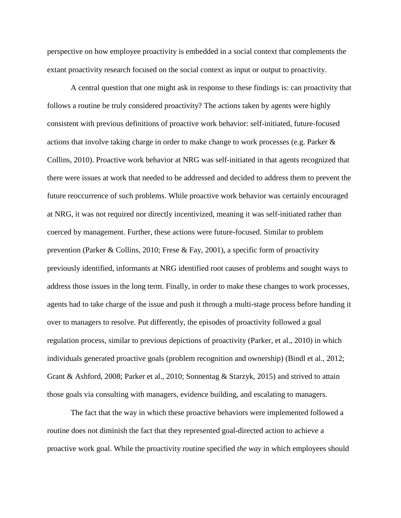perspective on how employee proactivity is embedded in a social context that complements the extant proactivity research focused on the social context as input or output to proactivity.

A central question that one might ask in response to these findings is: can proactivity that follows a routine be truly considered proactivity? The actions taken by agents were highly consistent with previous definitions of proactive work behavior: self-initiated, future-focused actions that involve taking charge in order to make change to work processes (e.g. Parker & Collins, 2010). Proactive work behavior at NRG was self-initiated in that agents recognized that there were issues at work that needed to be addressed and decided to address them to prevent the future reoccurrence of such problems. While proactive work behavior was certainly encouraged at NRG, it was not required nor directly incentivized, meaning it was self-initiated rather than coerced by management. Further, these actions were future-focused. Similar to problem prevention (Parker & Collins, 2010; Frese & Fay, 2001), a specific form of proactivity previously identified, informants at NRG identified root causes of problems and sought ways to address those issues in the long term. Finally, in order to make these changes to work processes, agents had to take charge of the issue and push it through a multi-stage process before handing it over to managers to resolve. Put differently, the episodes of proactivity followed a goal regulation process, similar to previous depictions of proactivity (Parker, et al., 2010) in which individuals generated proactive goals (problem recognition and ownership) (Bindl et al., 2012; Grant & Ashford, 2008; Parker et al., 2010; Sonnentag & Starzyk, 2015) and strived to attain those goals via consulting with managers, evidence building, and escalating to managers.

The fact that the way in which these proactive behaviors were implemented followed a routine does not diminish the fact that they represented goal-directed action to achieve a proactive work goal. While the proactivity routine specified *the way* in which employees should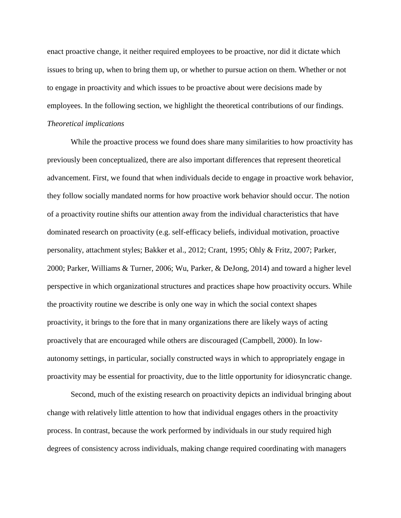enact proactive change, it neither required employees to be proactive, nor did it dictate which issues to bring up, when to bring them up, or whether to pursue action on them. Whether or not to engage in proactivity and which issues to be proactive about were decisions made by employees. In the following section, we highlight the theoretical contributions of our findings. *Theoretical implications*

While the proactive process we found does share many similarities to how proactivity has previously been conceptualized, there are also important differences that represent theoretical advancement. First, we found that when individuals decide to engage in proactive work behavior, they follow socially mandated norms for how proactive work behavior should occur. The notion of a proactivity routine shifts our attention away from the individual characteristics that have dominated research on proactivity (e.g. self-efficacy beliefs, individual motivation, proactive personality, attachment styles; Bakker et al., 2012; Crant, 1995; Ohly & Fritz, 2007; Parker, 2000; Parker, Williams & Turner, 2006; Wu, Parker, & DeJong, 2014) and toward a higher level perspective in which organizational structures and practices shape how proactivity occurs. While the proactivity routine we describe is only one way in which the social context shapes proactivity, it brings to the fore that in many organizations there are likely ways of acting proactively that are encouraged while others are discouraged (Campbell, 2000). In lowautonomy settings, in particular, socially constructed ways in which to appropriately engage in proactivity may be essential for proactivity, due to the little opportunity for idiosyncratic change.

Second, much of the existing research on proactivity depicts an individual bringing about change with relatively little attention to how that individual engages others in the proactivity process. In contrast, because the work performed by individuals in our study required high degrees of consistency across individuals, making change required coordinating with managers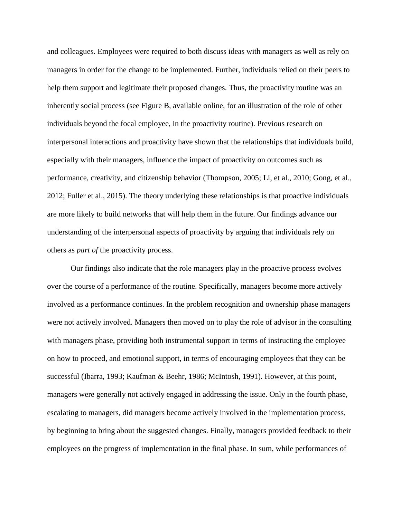and colleagues. Employees were required to both discuss ideas with managers as well as rely on managers in order for the change to be implemented. Further, individuals relied on their peers to help them support and legitimate their proposed changes. Thus, the proactivity routine was an inherently social process (see Figure B, available online, for an illustration of the role of other individuals beyond the focal employee, in the proactivity routine). Previous research on interpersonal interactions and proactivity have shown that the relationships that individuals build, especially with their managers, influence the impact of proactivity on outcomes such as performance, creativity, and citizenship behavior (Thompson, 2005; Li, et al., 2010; Gong, et al., 2012; Fuller et al., 2015). The theory underlying these relationships is that proactive individuals are more likely to build networks that will help them in the future. Our findings advance our understanding of the interpersonal aspects of proactivity by arguing that individuals rely on others as *part of* the proactivity process.

Our findings also indicate that the role managers play in the proactive process evolves over the course of a performance of the routine. Specifically, managers become more actively involved as a performance continues. In the problem recognition and ownership phase managers were not actively involved. Managers then moved on to play the role of advisor in the consulting with managers phase, providing both instrumental support in terms of instructing the employee on how to proceed, and emotional support, in terms of encouraging employees that they can be successful (Ibarra, 1993; Kaufman & Beehr, 1986; McIntosh, 1991). However, at this point, managers were generally not actively engaged in addressing the issue. Only in the fourth phase, escalating to managers, did managers become actively involved in the implementation process, by beginning to bring about the suggested changes. Finally, managers provided feedback to their employees on the progress of implementation in the final phase. In sum, while performances of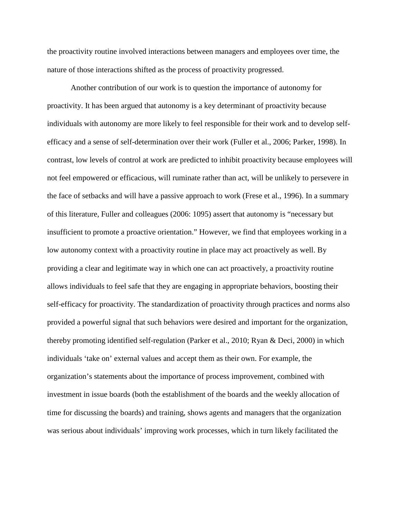the proactivity routine involved interactions between managers and employees over time, the nature of those interactions shifted as the process of proactivity progressed.

Another contribution of our work is to question the importance of autonomy for proactivity. It has been argued that autonomy is a key determinant of proactivity because individuals with autonomy are more likely to feel responsible for their work and to develop selfefficacy and a sense of self-determination over their work (Fuller et al., 2006; Parker, 1998). In contrast, low levels of control at work are predicted to inhibit proactivity because employees will not feel empowered or efficacious, will ruminate rather than act, will be unlikely to persevere in the face of setbacks and will have a passive approach to work (Frese et al., 1996). In a summary of this literature, Fuller and colleagues (2006: 1095) assert that autonomy is "necessary but insufficient to promote a proactive orientation." However, we find that employees working in a low autonomy context with a proactivity routine in place may act proactively as well. By providing a clear and legitimate way in which one can act proactively, a proactivity routine allows individuals to feel safe that they are engaging in appropriate behaviors, boosting their self-efficacy for proactivity. The standardization of proactivity through practices and norms also provided a powerful signal that such behaviors were desired and important for the organization, thereby promoting identified self-regulation (Parker et al., 2010; Ryan & Deci, 2000) in which individuals 'take on' external values and accept them as their own. For example, the organization's statements about the importance of process improvement, combined with investment in issue boards (both the establishment of the boards and the weekly allocation of time for discussing the boards) and training, shows agents and managers that the organization was serious about individuals' improving work processes, which in turn likely facilitated the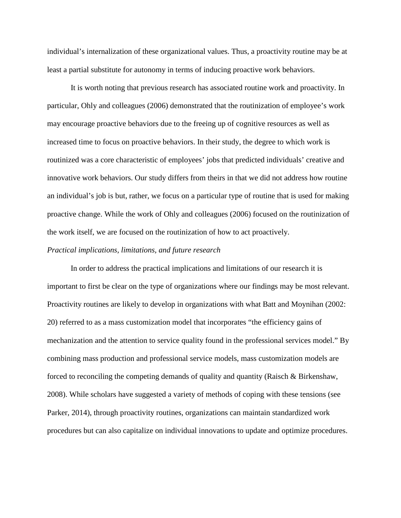individual's internalization of these organizational values. Thus, a proactivity routine may be at least a partial substitute for autonomy in terms of inducing proactive work behaviors.

It is worth noting that previous research has associated routine work and proactivity. In particular, Ohly and colleagues (2006) demonstrated that the routinization of employee's work may encourage proactive behaviors due to the freeing up of cognitive resources as well as increased time to focus on proactive behaviors. In their study, the degree to which work is routinized was a core characteristic of employees' jobs that predicted individuals' creative and innovative work behaviors. Our study differs from theirs in that we did not address how routine an individual's job is but, rather, we focus on a particular type of routine that is used for making proactive change. While the work of Ohly and colleagues (2006) focused on the routinization of the work itself, we are focused on the routinization of how to act proactively.

#### *Practical implications, limitations, and future research*

In order to address the practical implications and limitations of our research it is important to first be clear on the type of organizations where our findings may be most relevant. Proactivity routines are likely to develop in organizations with what Batt and Moynihan (2002: 20) referred to as a mass customization model that incorporates "the efficiency gains of mechanization and the attention to service quality found in the professional services model." By combining mass production and professional service models, mass customization models are forced to reconciling the competing demands of quality and quantity (Raisch & Birkenshaw, 2008). While scholars have suggested a variety of methods of coping with these tensions (see Parker, 2014), through proactivity routines, organizations can maintain standardized work procedures but can also capitalize on individual innovations to update and optimize procedures.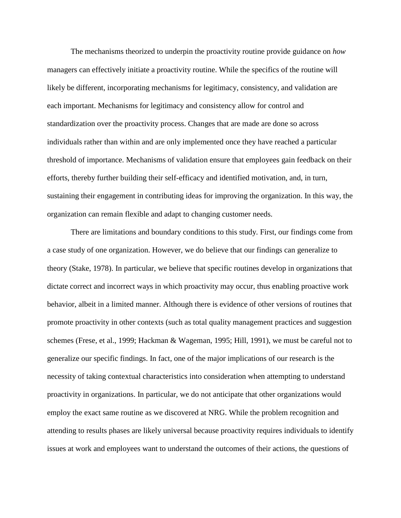The mechanisms theorized to underpin the proactivity routine provide guidance on *how* managers can effectively initiate a proactivity routine. While the specifics of the routine will likely be different, incorporating mechanisms for legitimacy, consistency, and validation are each important. Mechanisms for legitimacy and consistency allow for control and standardization over the proactivity process. Changes that are made are done so across individuals rather than within and are only implemented once they have reached a particular threshold of importance. Mechanisms of validation ensure that employees gain feedback on their efforts, thereby further building their self-efficacy and identified motivation, and, in turn, sustaining their engagement in contributing ideas for improving the organization. In this way, the organization can remain flexible and adapt to changing customer needs.

There are limitations and boundary conditions to this study. First, our findings come from a case study of one organization. However, we do believe that our findings can generalize to theory (Stake, 1978). In particular, we believe that specific routines develop in organizations that dictate correct and incorrect ways in which proactivity may occur, thus enabling proactive work behavior, albeit in a limited manner. Although there is evidence of other versions of routines that promote proactivity in other contexts (such as total quality management practices and suggestion schemes (Frese, et al., 1999; Hackman & Wageman, 1995; Hill, 1991), we must be careful not to generalize our specific findings. In fact, one of the major implications of our research is the necessity of taking contextual characteristics into consideration when attempting to understand proactivity in organizations. In particular, we do not anticipate that other organizations would employ the exact same routine as we discovered at NRG. While the problem recognition and attending to results phases are likely universal because proactivity requires individuals to identify issues at work and employees want to understand the outcomes of their actions, the questions of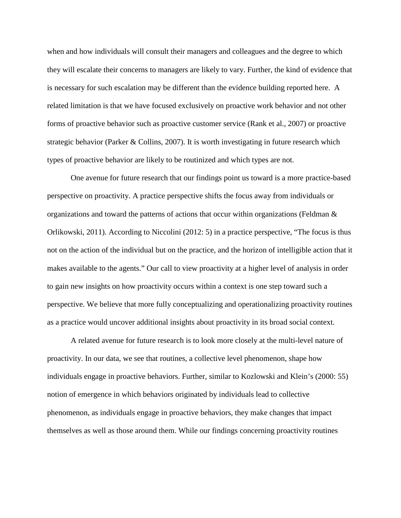when and how individuals will consult their managers and colleagues and the degree to which they will escalate their concerns to managers are likely to vary. Further, the kind of evidence that is necessary for such escalation may be different than the evidence building reported here. A related limitation is that we have focused exclusively on proactive work behavior and not other forms of proactive behavior such as proactive customer service (Rank et al., 2007) or proactive strategic behavior (Parker & Collins, 2007). It is worth investigating in future research which types of proactive behavior are likely to be routinized and which types are not.

One avenue for future research that our findings point us toward is a more practice-based perspective on proactivity. A practice perspective shifts the focus away from individuals or organizations and toward the patterns of actions that occur within organizations (Feldman  $\&$ Orlikowski, 2011). According to Niccolini (2012: 5) in a practice perspective, "The focus is thus not on the action of the individual but on the practice, and the horizon of intelligible action that it makes available to the agents." Our call to view proactivity at a higher level of analysis in order to gain new insights on how proactivity occurs within a context is one step toward such a perspective. We believe that more fully conceptualizing and operationalizing proactivity routines as a practice would uncover additional insights about proactivity in its broad social context.

A related avenue for future research is to look more closely at the multi-level nature of proactivity. In our data, we see that routines, a collective level phenomenon, shape how individuals engage in proactive behaviors. Further, similar to Kozlowski and Klein's (2000: 55) notion of emergence in which behaviors originated by individuals lead to collective phenomenon, as individuals engage in proactive behaviors, they make changes that impact themselves as well as those around them. While our findings concerning proactivity routines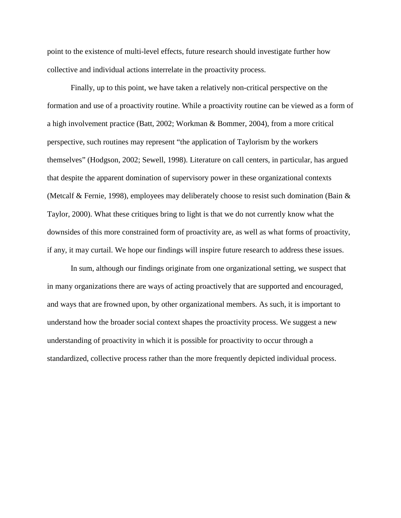point to the existence of multi-level effects, future research should investigate further how collective and individual actions interrelate in the proactivity process.

Finally, up to this point, we have taken a relatively non-critical perspective on the formation and use of a proactivity routine. While a proactivity routine can be viewed as a form of a high involvement practice (Batt, 2002; Workman & Bommer, 2004), from a more critical perspective, such routines may represent "the application of Taylorism by the workers themselves" (Hodgson, 2002; Sewell, 1998). Literature on call centers, in particular, has argued that despite the apparent domination of supervisory power in these organizational contexts (Metcalf & Fernie, 1998), employees may deliberately choose to resist such domination (Bain  $\&$ Taylor, 2000). What these critiques bring to light is that we do not currently know what the downsides of this more constrained form of proactivity are, as well as what forms of proactivity, if any, it may curtail. We hope our findings will inspire future research to address these issues.

In sum, although our findings originate from one organizational setting, we suspect that in many organizations there are ways of acting proactively that are supported and encouraged, and ways that are frowned upon, by other organizational members. As such, it is important to understand how the broader social context shapes the proactivity process. We suggest a new understanding of proactivity in which it is possible for proactivity to occur through a standardized, collective process rather than the more frequently depicted individual process.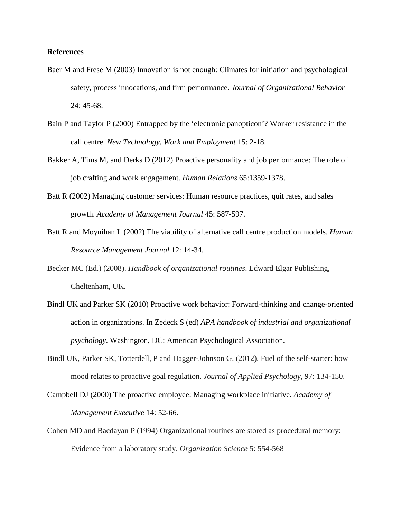#### **References**

- Baer M and Frese M (2003) Innovation is not enough: Climates for initiation and psychological safety, process innocations, and firm performance. *Journal of Organizational Behavior*  $24: 45-68.$
- Bain P and Taylor P (2000) Entrapped by the 'electronic panopticon'? Worker resistance in the call centre. *New Technology, Work and Employment* 15: 2-18.
- Bakker A, Tims M, and Derks D (2012) Proactive personality and job performance: The role of job crafting and work engagement. *Human Relations* 65:1359-1378.
- Batt R (2002) Managing customer services: Human resource practices, quit rates, and sales growth. *Academy of Management Journal* 45: 587-597.
- Batt R and Moynihan L (2002) The viability of alternative call centre production models. *Human Resource Management Journal* 12: 14-34.
- Becker MC (Ed.) (2008). *Handbook of organizational routines*. Edward Elgar Publishing, Cheltenham, UK.
- Bindl UK and Parker SK (2010) Proactive work behavior: Forward-thinking and change-oriented action in organizations. In Zedeck S (ed) *APA handbook of industrial and organizational psychology*. Washington, DC: American Psychological Association.
- Bindl UK, Parker SK, Totterdell, P and Hagger-Johnson G. (2012). Fuel of the self-starter: how mood relates to proactive goal regulation. *Journal of Applied Psychology*, 97: 134-150.
- Campbell DJ (2000) The proactive employee: Managing workplace initiative. *Academy of Management Executive* 14: 52-66.
- Cohen MD and Bacdayan P (1994) Organizational routines are stored as procedural memory: Evidence from a laboratory study. *Organization Science* 5: 554-568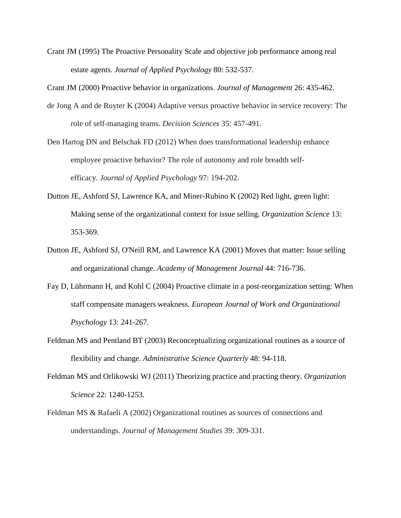Crant JM (1995) The Proactive Personality Scale and objective job performance among real estate agents. *Journal of Applied Psychology* 80: 532-537.

Crant JM (2000) Proactive behavior in organizations. *Journal of Management* 26: 435-462.

de Jong A and de Ruyter K (2004) Adaptive versus proactive behavior in service recovery: The role of self-managing teams. *Decision Sciences* 35: 457-491.

Den Hartog DN and Belschak FD (2012) When does transformational leadership enhance employee proactive behavior? The role of autonomy and role breadth selfefficacy. *Journal of Applied Psychology* 97: 194-202.

- Dutton JE, Ashford SJ, Lawrence KA, and Miner-Rubino K (2002) Red light, green light: Making sense of the organizational context for issue selling. *Organization Science* 13: 353-369.
- Dutton JE, Ashford SJ, O'Neill RM, and Lawrence KA (2001) Moves that matter: Issue selling and organizational change. *Academy of Management Journal* 44: 716-736.
- Fay D, Lührmann H, and Kohl C (2004) Proactive climate in a post-reorganization setting: When staff compensate managers weakness. *European Journal of Work and Organizational Psychology* 13: 241-267.
- Feldman MS and Pentland BT (2003) Reconceptualizing organizational routines as a source of flexibility and change. *Administrative Science Quarterly* 48: 94-118.
- Feldman MS and Orlikowski WJ (2011) Theorizing practice and practing theory. *Organization Science* 22: 1240-1253.
- Feldman MS & Rafaeli A (2002) Organizational routines as sources of connections and understandings. *Journal of Management Studies* 39: 309-331.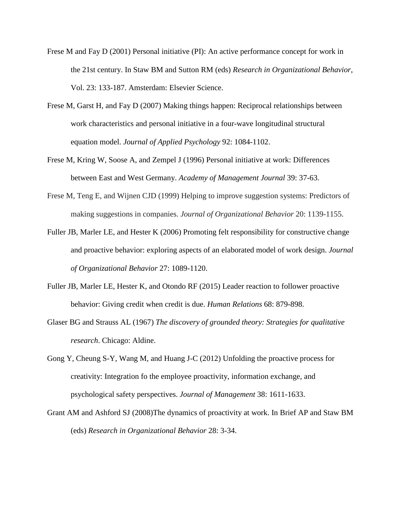- Frese M and Fay D (2001) Personal initiative (PI): An active performance concept for work in the 21st century. In Staw BM and Sutton RM (eds) *Research in Organizational Behavior*, Vol. 23: 133-187. Amsterdam: Elsevier Science.
- Frese M, Garst H, and Fay D (2007) Making things happen: Reciprocal relationships between work characteristics and personal initiative in a four-wave longitudinal structural equation model. *Journal of Applied Psychology* 92: 1084-1102.
- Frese M, Kring W, Soose A, and Zempel J (1996) Personal initiative at work: Differences between East and West Germany. *Academy of Management Journal* 39: 37-63.
- Frese M, Teng E, and Wijnen CJD (1999) Helping to improve suggestion systems: Predictors of making suggestions in companies. *Journal of Organizational Behavior* 20: 1139-1155.
- Fuller JB, Marler LE, and Hester K (2006) Promoting felt responsibility for constructive change and proactive behavior: exploring aspects of an elaborated model of work design. *Journal of Organizational Behavior* 27: 1089-1120.
- Fuller JB, Marler LE, Hester K, and Otondo RF (2015) Leader reaction to follower proactive behavior: Giving credit when credit is due. *Human Relations* 68: 879-898.
- Glaser BG and Strauss AL (1967) *The discovery of grounded theory: Strategies for qualitative research*. Chicago: Aldine.
- Gong Y, Cheung S-Y, Wang M, and Huang J-C (2012) Unfolding the proactive process for creativity: Integration fo the employee proactivity, information exchange, and psychological safety perspectives. *Journal of Management* 38: 1611-1633.
- Grant AM and Ashford SJ (2008)The dynamics of proactivity at work. In Brief AP and Staw BM (eds) *Research in Organizational Behavior* 28: 3-34.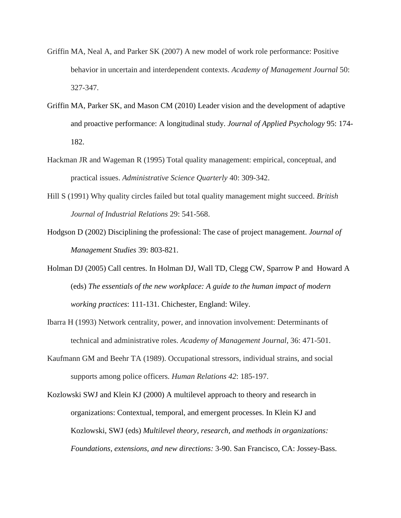- Griffin MA, Neal A, and Parker SK (2007) A new model of work role performance: Positive behavior in uncertain and interdependent contexts. *Academy of Management Journal* 50: 327-347.
- Griffin MA, Parker SK, and Mason CM (2010) Leader vision and the development of adaptive and proactive performance: A longitudinal study. *Journal of Applied Psychology* 95: 174- 182.
- Hackman JR and Wageman R (1995) Total quality management: empirical, conceptual, and practical issues. *Administrative Science Quarterly* 40: 309-342.
- Hill S (1991) Why quality circles failed but total quality management might succeed. *British Journal of Industrial Relations* 29: 541-568.
- Hodgson D (2002) Disciplining the professional: The case of project management. *Journal of Management Studies* 39: 803-821.
- Holman DJ (2005) Call centres. In Holman DJ, Wall TD, Clegg CW, Sparrow P and Howard A (eds) *The essentials of the new workplace: A guide to the human impact of modern working practices*: 111-131. Chichester, England: Wiley.
- Ibarra H (1993) Network centrality, power, and innovation involvement: Determinants of technical and administrative roles. *Academy of Management Journal*, 36: 471-501.
- Kaufmann GM and Beehr TA (1989). Occupational stressors, individual strains, and social supports among police officers. *Human Relations 42*: 185-197.
- Kozlowski SWJ and Klein KJ (2000) A multilevel approach to theory and research in organizations: Contextual, temporal, and emergent processes. In Klein KJ and Kozlowski, SWJ (eds) *Multilevel theory, research, and methods in organizations: Foundations, extensions, and new directions:* 3-90. San Francisco, CA: Jossey-Bass.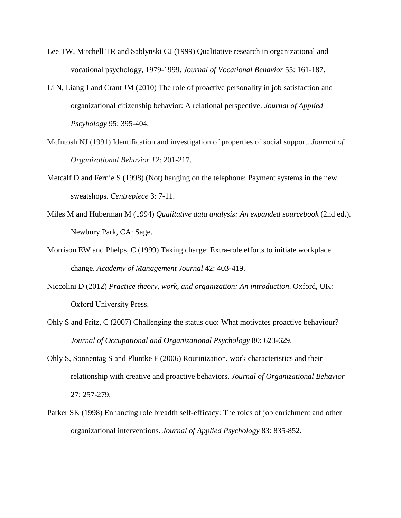- Lee TW, Mitchell TR and Sablynski CJ (1999) Qualitative research in organizational and vocational psychology, 1979-1999. *Journal of Vocational Behavior* 55: 161-187.
- Li N, Liang J and Crant JM (2010) The role of proactive personality in job satisfaction and organizational citizenship behavior: A relational perspective. *Journal of Applied Pscyhology* 95: 395-404.
- McIntosh NJ (1991) Identification and investigation of properties of social support. *Journal of Organizational Behavior 12*: 201-217.
- Metcalf D and Fernie S (1998) (Not) hanging on the telephone: Payment systems in the new sweatshops. *Centrepiece* 3: 7-11.
- Miles M and Huberman M (1994) *Qualitative data analysis: An expanded sourcebook* (2nd ed.). Newbury Park, CA: Sage.
- Morrison EW and Phelps, C (1999) Taking charge: Extra-role efforts to initiate workplace change. *Academy of Management Journal* 42: 403-419.
- Niccolini D (2012) *Practice theory, work, and organization: An introduction*. Oxford, UK: Oxford University Press.
- Ohly S and Fritz, C (2007) Challenging the status quo: What motivates proactive behaviour? *Journal of Occupational and Organizational Psychology* 80: 623-629.
- Ohly S, Sonnentag S and Pluntke F (2006) Routinization, work characteristics and their relationship with creative and proactive behaviors. *Journal of Organizational Behavior* 27: 257-279.
- Parker SK (1998) Enhancing role breadth self-efficacy: The roles of job enrichment and other organizational interventions. *Journal of Applied Psychology* 83: 835-852.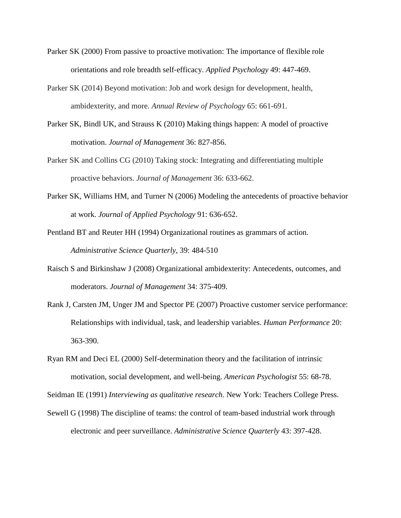- Parker SK (2000) From passive to proactive motivation: The importance of flexible role orientations and role breadth self‐efficacy. *Applied Psychology* 49: 447-469.
- Parker SK (2014) Beyond motivation: Job and work design for development, health, ambidexterity, and more. *Annual Review of Psychology* 65: 661-691.
- Parker SK, Bindl UK, and Strauss K (2010) Making things happen: A model of proactive motivation. *Journal of Management* 36: 827-856.
- Parker SK and Collins CG (2010) Taking stock: Integrating and differentiating multiple proactive behaviors. *Journal of Management* 36: 633-662.
- Parker SK, Williams HM, and Turner N (2006) Modeling the antecedents of proactive behavior at work. *Journal of Applied Psychology* 91: 636-652.
- Pentland BT and Reuter HH (1994) Organizational routines as grammars of action. *Administrative Science Quarterly*, 39: 484-510
- Raisch S and Birkinshaw J (2008) Organizational ambidexterity: Antecedents, outcomes, and moderators. *Journal of Management* 34: 375-409.
- Rank J, Carsten JM, Unger JM and Spector PE (2007) Proactive customer service performance: Relationships with individual, task, and leadership variables. *Human Performance* 20: 363-390.
- Ryan RM and Deci EL (2000) Self-determination theory and the facilitation of intrinsic motivation, social development, and well-being. *American Psychologist* 55: 68-78.

Seidman IE (1991) *Interviewing as qualitative research*. New York: Teachers College Press.

Sewell G (1998) The discipline of teams: the control of team-based industrial work through electronic and peer surveillance. *Administrative Science Quarterly* 43: 397-428.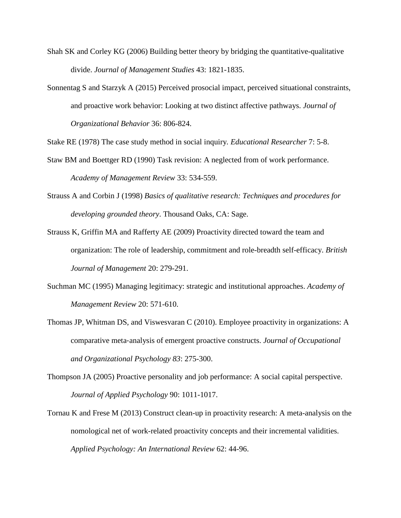- Shah SK and Corley KG (2006) Building better theory by bridging the quantitative-qualitative divide. *Journal of Management Studies* 43: 1821-1835.
- Sonnentag S and Starzyk A (2015) Perceived prosocial impact, perceived situational constraints, and proactive work behavior: Looking at two distinct affective pathways. *Journal of Organizational Behavior* 36: 806-824.

Stake RE (1978) The case study method in social inquiry*. Educational Researcher* 7: 5-8.

- Staw BM and Boettger RD (1990) Task revision: A neglected from of work performance. *Academy of Management Review* 33: 534-559.
- Strauss A and Corbin J (1998) *Basics of qualitative research: Techniques and procedures for developing grounded theory*. Thousand Oaks, CA: Sage.
- Strauss K, Griffin MA and Rafferty AE (2009) Proactivity directed toward the team and organization: The role of leadership, commitment and role-breadth self-efficacy. *British Journal of Management* 20: 279-291.
- Suchman MC (1995) Managing legitimacy: strategic and institutional approaches. *Academy of Management Review* 20: 571-610.
- Thomas JP, Whitman DS, and Viswesvaran C (2010). Employee proactivity in organizations: A comparative meta‐analysis of emergent proactive constructs. *Journal of Occupational and Organizational Psychology 83*: 275-300.
- Thompson JA (2005) Proactive personality and job performance: A social capital perspective. *Journal of Applied Psychology* 90: 1011-1017.
- Tornau K and Frese M (2013) Construct clean-up in proactivity research: A meta-analysis on the nomological net of work-related proactivity concepts and their incremental validities. *Applied Psychology: An International Review* 62: 44-96.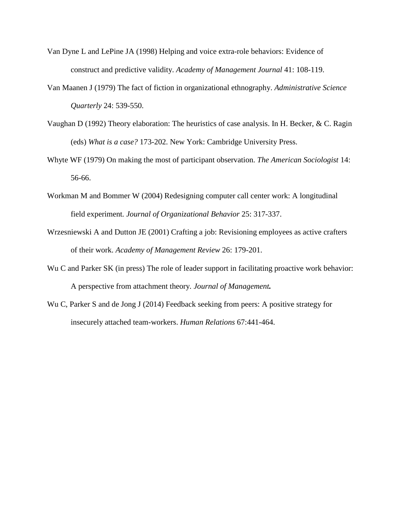- Van Dyne L and LePine JA (1998) Helping and voice extra-role behaviors: Evidence of construct and predictive validity. *Academy of Management Journal* 41: 108-119.
- Van Maanen J (1979) The fact of fiction in organizational ethnography. *Administrative Science Quarterly* 24: 539-550.
- Vaughan D (1992) Theory elaboration: The heuristics of case analysis. In H. Becker, & C. Ragin (eds) *What is a case?* 173-202. New York: Cambridge University Press.
- Whyte WF (1979) On making the most of participant observation. *The American Sociologist* 14: 56-66.
- Workman M and Bommer W (2004) Redesigning computer call center work: A longitudinal field experiment*. Journal of Organizational Behavior* 25: 317-337.
- Wrzesniewski A and Dutton JE (2001) Crafting a job: Revisioning employees as active crafters of their work. *Academy of Management Review* 26: 179-201.
- Wu C and Parker SK (in press) The role of leader support in facilitating proactive work behavior: A perspective from attachment theory*. Journal of Management.*
- Wu C, Parker S and de Jong J (2014) Feedback seeking from peers: A positive strategy for insecurely attached team-workers. *Human Relations* 67:441-464.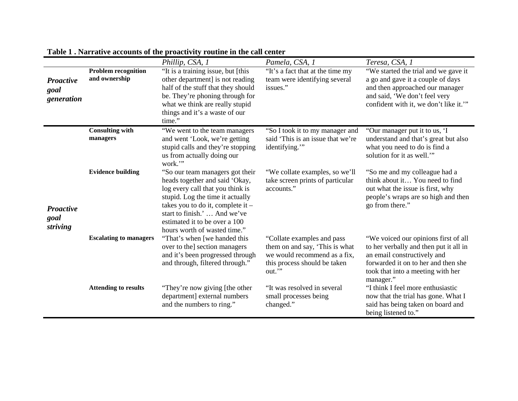|                                        |                                             | <b>Table 1. Narrative accounts of the proactivity routine in the call center</b>                                                                                                                                                                                                 |                                                                                                                                       |                                                                                                                                                                                                        |
|----------------------------------------|---------------------------------------------|----------------------------------------------------------------------------------------------------------------------------------------------------------------------------------------------------------------------------------------------------------------------------------|---------------------------------------------------------------------------------------------------------------------------------------|--------------------------------------------------------------------------------------------------------------------------------------------------------------------------------------------------------|
|                                        |                                             | Phillip, CSA, 1                                                                                                                                                                                                                                                                  | Pamela, CSA, 1                                                                                                                        | Teresa, CSA, 1                                                                                                                                                                                         |
| <b>Proactive</b><br>goal<br>generation | <b>Problem recognition</b><br>and ownership | "It is a training issue, but [this<br>other department] is not reading<br>half of the stuff that they should<br>be. They're phoning through for<br>what we think are really stupid<br>things and it's a waste of our<br>time."                                                   | "It's a fact that at the time my<br>team were identifying several<br>issues."                                                         | "We started the trial and we gave it<br>a go and gave it a couple of days<br>and then approached our manager<br>and said, 'We don't feel very<br>confident with it, we don't like it."                 |
| <b>Proactive</b><br>goal<br>striving   | <b>Consulting with</b><br>managers          | "We went to the team managers<br>and went 'Look, we're getting<br>stupid calls and they're stopping<br>us from actually doing our<br>work."                                                                                                                                      | "So I took it to my manager and<br>said 'This is an issue that we're<br>identifying."                                                 | "Our manager put it to us, 'I<br>understand and that's great but also<br>what you need to do is find a<br>solution for it as well."                                                                    |
|                                        | <b>Evidence building</b>                    | "So our team managers got their<br>heads together and said 'Okay,<br>log every call that you think is<br>stupid. Log the time it actually<br>takes you to do it, complete it $-$<br>start to finish.' And we've<br>estimated it to be over a 100<br>hours worth of wasted time." | "We collate examples, so we'll<br>take screen prints of particular<br>accounts."                                                      | "So me and my colleague had a<br>think about it You need to find<br>out what the issue is first, why<br>people's wraps are so high and then<br>go from there."                                         |
|                                        | <b>Escalating to managers</b>               | "That's when [we handed this<br>over to the section managers<br>and it's been progressed through<br>and through, filtered through."                                                                                                                                              | "Collate examples and pass<br>them on and say, 'This is what<br>we would recommend as a fix,<br>this process should be taken<br>out." | "We voiced our opinions first of all<br>to her verbally and then put it all in<br>an email constructively and<br>forwarded it on to her and then she<br>took that into a meeting with her<br>manager." |
|                                        | <b>Attending to results</b>                 | "They're now giving [the other<br>department] external numbers<br>and the numbers to ring."                                                                                                                                                                                      | "It was resolved in several"<br>small processes being<br>changed."                                                                    | "I think I feel more enthusiastic<br>now that the trial has gone. What I<br>said has being taken on board and<br>being listened to."                                                                   |

| Table 1. Narrative accounts of the proactivity routine in the call center |  |  |  |  |  |  |
|---------------------------------------------------------------------------|--|--|--|--|--|--|
|---------------------------------------------------------------------------|--|--|--|--|--|--|